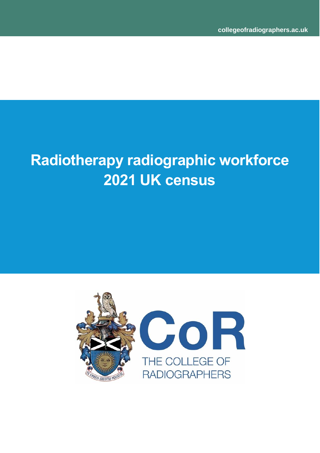# **Radiotherapy radiographic workforce 2021 UK census**

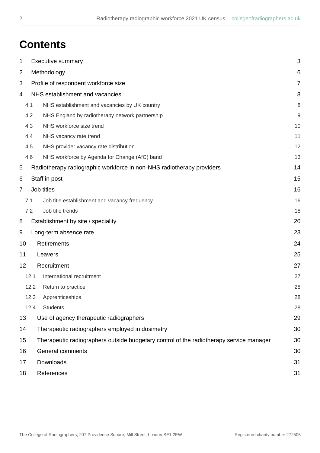## **Contents**

| 1                        |      | 3<br><b>Executive summary</b>                                                           |                |  |  |  |
|--------------------------|------|-----------------------------------------------------------------------------------------|----------------|--|--|--|
| $\overline{2}$           |      | Methodology                                                                             |                |  |  |  |
| 3                        |      | Profile of respondent workforce size                                                    | $\overline{7}$ |  |  |  |
| 4                        |      | NHS establishment and vacancies                                                         | 8              |  |  |  |
|                          | 4.1  | NHS establishment and vacancies by UK country                                           | 8              |  |  |  |
|                          | 4.2  | NHS England by radiotherapy network partnership                                         | 9              |  |  |  |
|                          | 4.3  | NHS workforce size trend                                                                | 10             |  |  |  |
|                          | 4.4  | NHS vacancy rate trend                                                                  | 11             |  |  |  |
|                          | 4.5  | NHS provider vacancy rate distribution                                                  | 12             |  |  |  |
|                          | 4.6  | NHS workforce by Agenda for Change (AfC) band                                           | 13             |  |  |  |
| 5                        |      | Radiotherapy radiographic workforce in non-NHS radiotherapy providers                   | 14             |  |  |  |
| 6                        |      | Staff in post                                                                           | 15             |  |  |  |
| $\overline{7}$           |      | Job titles                                                                              | 16             |  |  |  |
|                          | 7.1  | Job title establishment and vacancy frequency                                           | 16             |  |  |  |
|                          | 7.2  | Job title trends                                                                        | 18             |  |  |  |
| 8                        |      | Establishment by site / speciality                                                      | 20             |  |  |  |
| 9                        |      | Long-term absence rate                                                                  | 23             |  |  |  |
| <b>Retirements</b><br>10 |      |                                                                                         |                |  |  |  |
| 11<br>Leavers            |      | 25                                                                                      |                |  |  |  |
| 12                       |      | Recruitment                                                                             | 27             |  |  |  |
|                          | 12.1 | International recruitment                                                               | 27             |  |  |  |
|                          | 12.2 | Return to practice                                                                      | 28             |  |  |  |
|                          | 12.3 | Apprenticeships                                                                         | 28             |  |  |  |
|                          | 12.4 | <b>Students</b>                                                                         | 28             |  |  |  |
| 13                       |      | Use of agency therapeutic radiographers                                                 | 29             |  |  |  |
| 14                       |      | Therapeutic radiographers employed in dosimetry                                         | 30             |  |  |  |
| 15                       |      | Therapeutic radiographers outside budgetary control of the radiotherapy service manager | 30             |  |  |  |
| 16                       |      | General comments                                                                        | 30             |  |  |  |
| 17                       |      | Downloads                                                                               | 31             |  |  |  |
| 18                       |      | References                                                                              | 31             |  |  |  |
|                          |      |                                                                                         |                |  |  |  |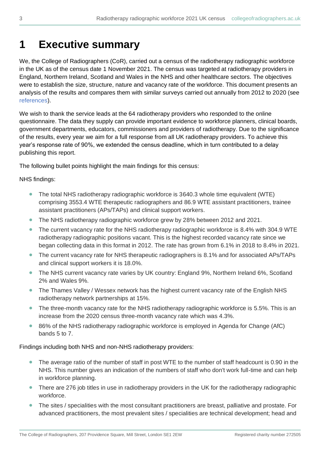### <span id="page-2-0"></span>**1 Executive summary**

We, the College of Radiographers (CoR), carried out a census of the radiotherapy radiographic workforce in the UK as of the census date 1 November 2021. The census was targeted at radiotherapy providers in England, Northern Ireland, Scotland and Wales in the NHS and other healthcare sectors. The objectives were to establish the size, structure, nature and vacancy rate of the workforce. This document presents an analysis of the results and compares them with similar surveys carried out annually from 2012 to 2020 (see [references\)](#page-30-1).

We wish to thank the service leads at the 64 radiotherapy providers who responded to the online questionnaire. The data they supply can provide important evidence to workforce planners, clinical boards, government departments, educators, commissioners and providers of radiotherapy. Due to the significance of the results, every year we aim for a full response from all UK radiotherapy providers. To achieve this year's response rate of 90%, we extended the census deadline, which in turn contributed to a delay publishing this report.

The following bullet points highlight the main findings for this census:

NHS findings:

- The total NHS radiotherapy radiographic workforce is 3640.3 whole time equivalent (WTE) comprising 3553.4 WTE therapeutic radiographers and 86.9 WTE assistant practitioners, trainee assistant practitioners (APs/TAPs) and clinical support workers.
- The NHS radiotherapy radiographic workforce grew by 28% between 2012 and 2021.
- The current vacancy rate for the NHS radiotherapy radiographic workforce is 8.4% with 304.9 WTE radiotherapy radiographic positions vacant. This is the highest recorded vacancy rate since we began collecting data in this format in 2012. The rate has grown from 6.1% in 2018 to 8.4% in 2021.
- The current vacancy rate for NHS therapeutic radiographers is 8.1% and for associated APs/TAPs and clinical support workers it is 18.0%.
- The NHS current vacancy rate varies by UK country: England 9%, Northern Ireland 6%, Scotland 2% and Wales 9%.
- The Thames Valley / Wessex network has the highest current vacancy rate of the English NHS radiotherapy network partnerships at 15%.
- The three-month vacancy rate for the NHS radiotherapy radiographic workforce is 5.5%. This is an increase from the 2020 census three-month vacancy rate which was 4.3%.
- 86% of the NHS radiotherapy radiographic workforce is employed in Agenda for Change (AfC) bands 5 to 7.

Findings including both NHS and non-NHS radiotherapy providers:

- The average ratio of the number of staff in post WTE to the number of staff headcount is 0.90 in the NHS. This number gives an indication of the numbers of staff who don't work full-time and can help in workforce planning.
- There are 276 job titles in use in radiotherapy providers in the UK for the radiotherapy radiographic workforce.
- The sites / specialities with the most consultant practitioners are breast, palliative and prostate. For advanced practitioners, the most prevalent sites / specialities are technical development; head and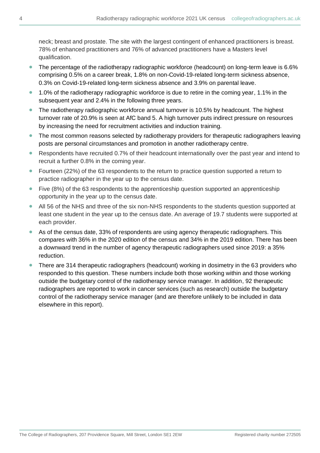neck; breast and prostate. The site with the largest contingent of enhanced practitioners is breast. 78% of enhanced practitioners and 76% of advanced practitioners have a Masters level qualification.

- The percentage of the radiotherapy radiographic workforce (headcount) on long-term leave is 6.6% comprising 0.5% on a career break, 1.8% on non-Covid-19-related long-term sickness absence, 0.3% on Covid-19-related long-term sickness absence and 3.9% on parental leave.
- 1.0% of the radiotherapy radiographic workforce is due to retire in the coming year, 1.1% in the subsequent year and 2.4% in the following three years.
- The radiotherapy radiographic workforce annual turnover is 10.5% by headcount. The highest turnover rate of 20.9% is seen at AfC band 5. A high turnover puts indirect pressure on resources by increasing the need for recruitment activities and induction training.
- The most common reasons selected by radiotherapy providers for therapeutic radiographers leaving posts are personal circumstances and promotion in another radiotherapy centre.
- Respondents have recruited 0.7% of their headcount internationally over the past year and intend to recruit a further 0.8% in the coming year.
- Fourteen (22%) of the 63 respondents to the return to practice question supported a return to practice radiographer in the year up to the census date.
- Five (8%) of the 63 respondents to the apprenticeship question supported an apprenticeship opportunity in the year up to the census date.
- All 56 of the NHS and three of the six non-NHS respondents to the students question supported at least one student in the year up to the census date. An average of 19.7 students were supported at each provider.
- As of the census date, 33% of respondents are using agency therapeutic radiographers. This compares with 36% in the 2020 edition of the census and 34% in the 2019 edition. There has been a downward trend in the number of agency therapeutic radiographers used since 2019: a 35% reduction.
- There are 314 therapeutic radiographers (headcount) working in dosimetry in the 63 providers who responded to this question. These numbers include both those working within and those working outside the budgetary control of the radiotherapy service manager. In addition, 92 therapeutic radiographers are reported to work in cancer services (such as research) outside the budgetary control of the radiotherapy service manager (and are therefore unlikely to be included in data elsewhere in this report).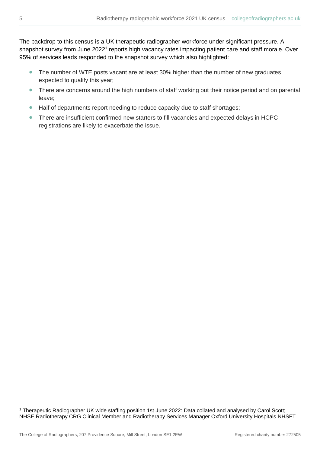The backdrop to this census is a UK therapeutic radiographer workforce under significant pressure. A snapshot survey from June 2022<sup>1</sup> reports high vacancy rates impacting patient care and staff morale. Over 95% of services leads responded to the snapshot survey which also highlighted:

- The number of WTE posts vacant are at least 30% higher than the number of new graduates expected to qualify this year;
- There are concerns around the high numbers of staff working out their notice period and on parental leave;
- Half of departments report needing to reduce capacity due to staff shortages;
- There are insufficient confirmed new starters to fill vacancies and expected delays in HCPC registrations are likely to exacerbate the issue.

<sup>1</sup> Therapeutic Radiographer UK wide staffing position 1st June 2022: Data collated and analysed by Carol Scott; NHSE Radiotherapy CRG Clinical Member and Radiotherapy Services Manager Oxford University Hospitals NHSFT.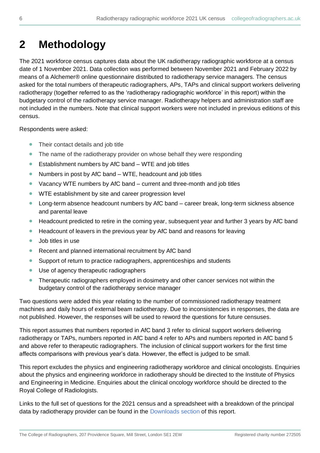## <span id="page-5-0"></span>**2 Methodology**

The 2021 workforce census captures data about the UK radiotherapy radiographic workforce at a census date of 1 November 2021. Data collection was performed between November 2021 and February 2022 by means of a Alchemer® online questionnaire distributed to radiotherapy service managers. The census asked for the total numbers of therapeutic radiographers, APs, TAPs and clinical support workers delivering radiotherapy (together referred to as the 'radiotherapy radiographic workforce' in this report) within the budgetary control of the radiotherapy service manager. Radiotherapy helpers and administration staff are not included in the numbers. Note that clinical support workers were not included in previous editions of this census.

Respondents were asked:

- Their contact details and job title
- The name of the radiotherapy provider on whose behalf they were responding
- Establishment numbers by AfC band WTE and job titles
- Numbers in post by AfC band WTE, headcount and job titles
- Vacancy WTE numbers by AfC band current and three-month and job titles
- WTE establishment by site and career progression level
- Long-term absence headcount numbers by AfC band career break, long-term sickness absence and parental leave
- Headcount predicted to retire in the coming year, subsequent year and further 3 years by AfC band
- Headcount of leavers in the previous year by AfC band and reasons for leaving
- Job titles in use
- Recent and planned international recruitment by AfC band
- Support of return to practice radiographers, apprenticeships and students
- Use of agency therapeutic radiographers
- Therapeutic radiographers employed in dosimetry and other cancer services not within the budgetary control of the radiotherapy service manager

Two questions were added this year relating to the number of commissioned radiotherapy treatment machines and daily hours of external beam radiotherapy. Due to inconsistencies in responses, the data are not published. However, the responses will be used to reword the questions for future censuses.

This report assumes that numbers reported in AfC band 3 refer to clinical support workers delivering radiotherapy or TAPs, numbers reported in AfC band 4 refer to APs and numbers reported in AfC band 5 and above refer to therapeutic radiographers. The inclusion of clinical support workers for the first time affects comparisons with previous year's data. However, the effect is judged to be small.

This report excludes the physics and engineering radiotherapy workforce and clinical oncologists. Enquiries about the physics and engineering workforce in radiotherapy should be directed to the Institute of Physics and Engineering in Medicine. Enquiries about the clinical oncology workforce should be directed to the Royal College of Radiologists.

Links to the full set of questions for the 2021 census and a spreadsheet with a breakdown of the principal data by radiotherapy provider can be found in the [Downloads section](#page-30-2) of this report.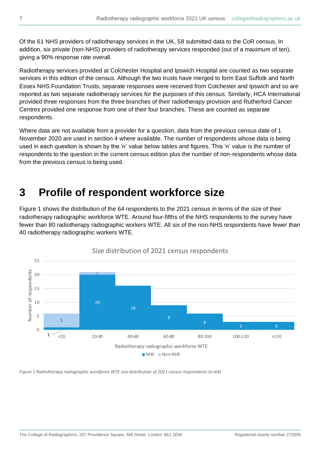Of the 61 NHS providers of radiotherapy services in the UK, 58 submitted data to the CoR census. In addition, six private (non-NHS) providers of radiotherapy services responded (out of a maximum of ten), giving a 90% response rate overall.

Radiotherapy services provided at Colchester Hospital and Ipswich Hospital are counted as two separate services in this edition of the census. Although the two trusts have merged to form East Suffolk and North Essex NHS Foundation Trusts, separate responses were received from Colchester and Ipswich and so are reported as two separate radiotherapy services for the purposes of this census. Similarly, HCA International provided three responses from the three branches of their radiotherapy provision and Rutherford Cancer Centres provided one response from one of their four branches. These are counted as separate respondents.

Where data are not available from a provider for a question, data from the previous census date of 1 November 2020 are used in section 4 where available. The number of respondents whose data is being used in each question is shown by the 'n' value below tables and figures. This 'n' value is the number of respondents to the question in the current census edition plus the number of non-respondents whose data from the previous census is being used.

### <span id="page-6-0"></span>**3 Profile of respondent workforce size**

Figure 1 shows the distribution of the 64 respondents to the 2021 census in terms of the size of their radiotherapy radiographic workforce WTE. Around four-fifths of the NHS respondents to the survey have fewer than 80 radiotherapy radiographic workers WTE. All six of the non-NHS respondents have fewer than 40 radiotherapy radiographic workers WTE.



*Figure 1 Radiotherapy radiographic workforce WTE size distribution of 2021 census respondents (n=64)*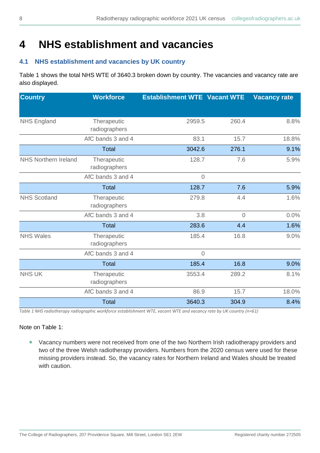## <span id="page-7-0"></span>**4 NHS establishment and vacancies**

### <span id="page-7-1"></span>**4.1 NHS establishment and vacancies by UK country**

Table 1 shows the total NHS WTE of 3640.3 broken down by country. The vacancies and vacancy rate are also displayed.

| <b>Country</b>              | <b>Workforce</b>             | <b>Establishment WTE Vacant WTE</b> |                | <b>Vacancy rate</b> |
|-----------------------------|------------------------------|-------------------------------------|----------------|---------------------|
|                             |                              |                                     |                |                     |
| <b>NHS England</b>          | Therapeutic<br>radiographers | 2959.5                              | 260.4          | 8.8%                |
|                             | AfC bands 3 and 4            | 83.1                                | 15.7           | 18.8%               |
|                             | <b>Total</b>                 | 3042.6                              | 276.1          | 9.1%                |
| <b>NHS Northern Ireland</b> | Therapeutic<br>radiographers | 128.7                               | 7.6            | 5.9%                |
|                             | AfC bands 3 and 4            | $\mathbf 0$                         |                |                     |
|                             | <b>Total</b>                 | 128.7                               | 7.6            | 5.9%                |
| <b>NHS Scotland</b>         | Therapeutic<br>radiographers | 279.8                               | 4.4            | 1.6%                |
|                             | AfC bands 3 and 4            | 3.8                                 | $\overline{0}$ | 0.0%                |
|                             | <b>Total</b>                 | 283.6                               | 4.4            | 1.6%                |
| <b>NHS Wales</b>            | Therapeutic<br>radiographers | 185.4                               | 16.8           | 9.0%                |
|                             | AfC bands 3 and 4            | $\overline{0}$                      |                |                     |
|                             | <b>Total</b>                 | 185.4                               | 16.8           | 9.0%                |
| <b>NHS UK</b>               | Therapeutic<br>radiographers | 3553.4                              | 289.2          | 8.1%                |
|                             | AfC bands 3 and 4            | 86.9                                | 15.7           | 18.0%               |
|                             | <b>Total</b>                 | 3640.3                              | 304.9          | 8.4%                |

*Table 1 NHS radiotherapy radiographic workforce establishment WTE, vacant WTE and vacancy rate by UK country (n=61)*

#### Note on Table 1:

• Vacancy numbers were not received from one of the two Northern Irish radiotherapy providers and two of the three Welsh radiotherapy providers. Numbers from the 2020 census were used for these missing providers instead. So, the vacancy rates for Northern Ireland and Wales should be treated with caution.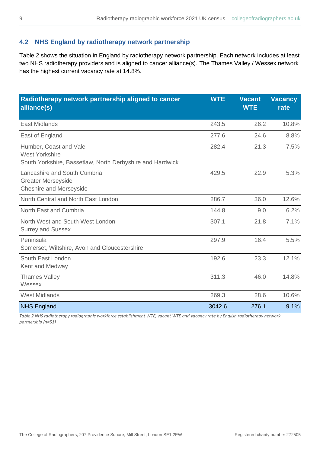### <span id="page-8-0"></span>**4.2 NHS England by radiotherapy network partnership**

Table 2 shows the situation in England by radiotherapy network partnership. Each network includes at least two NHS radiotherapy providers and is aligned to cancer alliance(s). The Thames Valley / Wessex network has the highest current vacancy rate at 14.8%.

| Radiotherapy network partnership aligned to cancer<br>alliance(s)                                            | <b>WTE</b> | <b>Vacant</b><br><b>WTE</b> | <b>Vacancy</b><br>rate |
|--------------------------------------------------------------------------------------------------------------|------------|-----------------------------|------------------------|
| <b>East Midlands</b>                                                                                         | 243.5      | 26.2                        | 10.8%                  |
| East of England                                                                                              | 277.6      | 24.6                        | 8.8%                   |
| Humber, Coast and Vale<br><b>West Yorkshire</b><br>South Yorkshire, Bassetlaw, North Derbyshire and Hardwick | 282.4      | 21.3                        | 7.5%                   |
| Lancashire and South Cumbria<br><b>Greater Merseyside</b><br><b>Cheshire and Merseyside</b>                  | 429.5      | 22.9                        | 5.3%                   |
| North Central and North East London                                                                          | 286.7      | 36.0                        | 12.6%                  |
| North East and Cumbria                                                                                       | 144.8      | 9.0                         | 6.2%                   |
| North West and South West London<br><b>Surrey and Sussex</b>                                                 | 307.1      | 21.8                        | 7.1%                   |
| Peninsula<br>Somerset, Wiltshire, Avon and Gloucestershire                                                   | 297.9      | 16.4                        | 5.5%                   |
| South East London<br>Kent and Medway                                                                         | 192.6      | 23.3                        | 12.1%                  |
| <b>Thames Valley</b><br>Wessex                                                                               | 311.3      | 46.0                        | 14.8%                  |
| <b>West Midlands</b>                                                                                         | 269.3      | 28.6                        | 10.6%                  |
| <b>NHS England</b>                                                                                           | 3042.6     | 276.1                       | 9.1%                   |

*Table 2 NHS radiotherapy radiographic workforce establishment WTE, vacant WTE and vacancy rate by English radiotherapy network partnership (n=51)*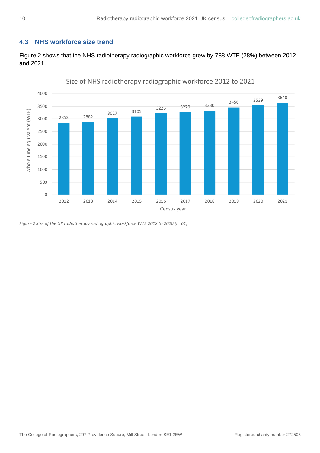### <span id="page-9-0"></span>**4.3 NHS workforce size trend**

Figure 2 shows that the NHS radiotherapy radiographic workforce grew by 788 WTE (28%) between 2012 and 2021.



Size of NHS radiotherapy radiographic workforce 2012 to 2021

*Figure 2 Size of the UK radiotherapy radiographic workforce WTE 2012 to 2020 (n=61)*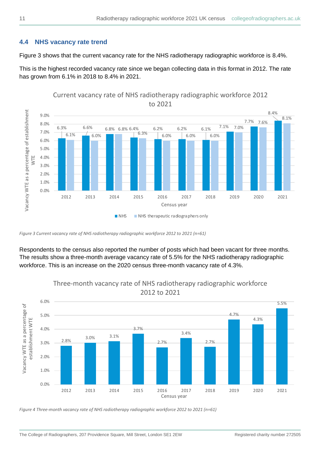### <span id="page-10-0"></span>**4.4 NHS vacancy rate trend**

Figure 3 shows that the current vacancy rate for the NHS radiotherapy radiographic workforce is 8.4%.

This is the highest recorded vacancy rate since we began collecting data in this format in 2012. The rate has grown from 6.1% in 2018 to 8.4% in 2021.



### Current vacancy rate of NHS radiotherapy radiographic workforce 2012 to 2021

Respondents to the census also reported the number of posts which had been vacant for three months. The results show a three-month average vacancy rate of 5.5% for the NHS radiotherapy radiographic workforce. This is an increase on the 2020 census three-month vacancy rate of 4.3%.



Three-month vacancy rate of NHS radiotherapy radiographic workforce 2012 to 2021

*Figure 4 Three-month vacancy rate of NHS radiotherapy radiographic workforce 2012 to 2021 (n=61)*

*Figure 3 Current vacancy rate of NHS radiotherapy radiographic workforce 2012 to 2021 (n=61)*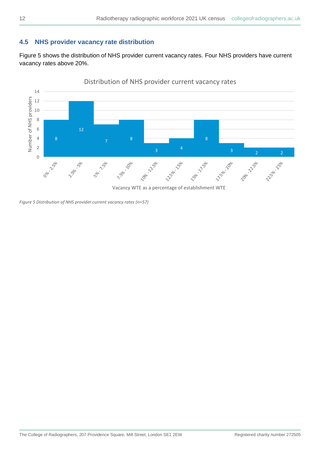### <span id="page-11-0"></span>**4.5 NHS provider vacancy rate distribution**

Figure 5 shows the distribution of NHS provider current vacancy rates. Four NHS providers have current vacancy rates above 20%.



Vacancy WTE as a percentage of establishment WTE

*Figure 5 Distribution of NHS provider current vacancy rates (n=57)*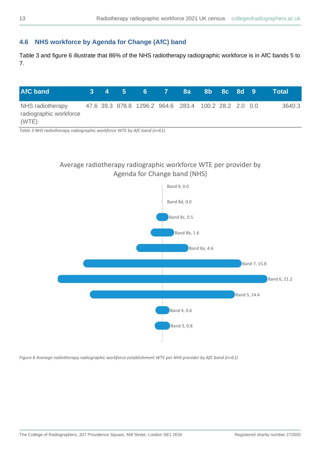### <span id="page-12-0"></span>**4.6 NHS workforce by Agenda for Change (AfC) band**

Table 3 and figure 6 illustrate that 86% of the NHS radiotherapy radiographic workforce is in AfC bands 5 to 7.

| <b>AfC</b> band                            |  | 3 4 5 |                                                       | $6 \t 7$ | <b>8a</b> | 8b 8c 8d 9 |  | Total  |
|--------------------------------------------|--|-------|-------------------------------------------------------|----------|-----------|------------|--|--------|
| NHS radiotherapy<br>radiographic workforce |  |       | 47.6 39.3 878.8 1296.2 964.6 283.4 100.2 28.2 2.0 0.0 |          |           |            |  | 3640.3 |
| (WTE)                                      |  |       |                                                       |          |           |            |  |        |

*Table 3 NHS radiotherapy radiographic workforce WTE by AfC band (n=61)*

### Average radiotherapy radiographic workforce WTE per provider by Agenda for Change band (NHS)



*Figure 6 Average radiotherapy radiographic workforce establishment WTE per NHS provider by AfC band (n=61)*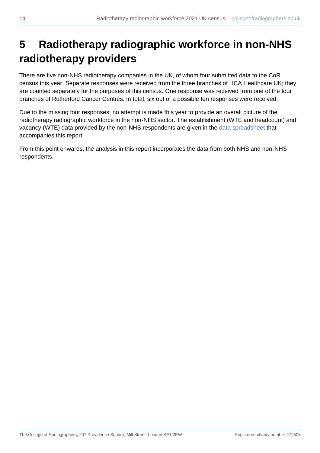## <span id="page-13-0"></span>**5 Radiotherapy radiographic workforce in non-NHS radiotherapy providers**

There are five non-NHS radiotherapy companies in the UK, of whom four submitted data to the CoR census this year. Separate responses were received from the three branches of HCA Healthcare UK; they are counted separately for the purposes of this census. One response was received from one of the four branches of Rutherford Cancer Centres. In total, six out of a possible ten responses were received.

Due to the missing four responses, no attempt is made this year to provide an overall picture of the radiotherapy radiographic workforce in the non-NHS sector. The establishment (WTE and headcount) and vacancy (WTE) data provided by the non-NHS respondents are given in the [data spreadsheet](#page-30-2) that accompanies this report.

From this point onwards, the analysis in this report incorporates the data from both NHS and non-NHS respondents.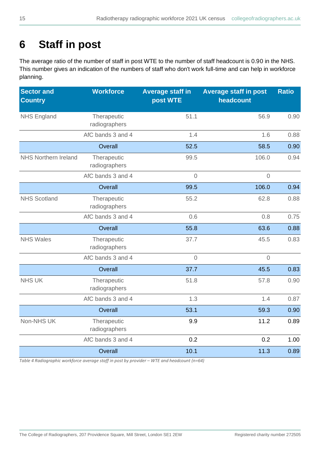## <span id="page-14-0"></span>**6 Staff in post**

The average ratio of the number of staff in post WTE to the number of staff headcount is 0.90 in the NHS. This number gives an indication of the numbers of staff who don't work full-time and can help in workforce planning.

| <b>Sector and</b><br><b>Country</b> | <b>Workforce</b>             | <b>Average staff in</b><br>post WTE | <b>Average staff in post</b><br>headcount | <b>Ratio</b> |
|-------------------------------------|------------------------------|-------------------------------------|-------------------------------------------|--------------|
| <b>NHS England</b>                  | Therapeutic<br>radiographers | 51.1                                | 56.9                                      | 0.90         |
|                                     | AfC bands 3 and 4            | 1.4                                 | 1.6                                       | 0.88         |
|                                     | Overall                      | 52.5                                | 58.5                                      | 0.90         |
| <b>NHS Northern Ireland</b>         | Therapeutic<br>radiographers | 99.5                                | 106.0                                     | 0.94         |
|                                     | AfC bands 3 and 4            | $\overline{0}$                      | $\sqrt{a}$                                |              |
|                                     | Overall                      | 99.5                                | 106.0                                     | 0.94         |
| <b>NHS Scotland</b>                 | Therapeutic<br>radiographers | 55.2                                | 62.8                                      | 0.88         |
|                                     | AfC bands 3 and 4            | 0.6                                 | 0.8                                       | 0.75         |
|                                     | Overall                      | 55.8                                | 63.6                                      | 0.88         |
| <b>NHS Wales</b>                    | Therapeutic<br>radiographers | 37.7                                | 45.5                                      | 0.83         |
|                                     | AfC bands 3 and 4            | $\sqrt{a}$                          | $\overline{0}$                            |              |
|                                     | Overall                      | 37.7                                | 45.5                                      | 0.83         |
| <b>NHS UK</b>                       | Therapeutic<br>radiographers | 51.8                                | 57.8                                      | 0.90         |
|                                     | AfC bands 3 and 4            | 1.3                                 | 1.4                                       | 0.87         |
|                                     | Overall                      | 53.1                                | 59.3                                      | 0.90         |
| Non-NHS UK                          | Therapeutic<br>radiographers | 9.9                                 | 11.2                                      | 0.89         |
|                                     | AfC bands 3 and 4            | 0.2                                 | 0.2                                       | 1.00         |
|                                     | Overall                      | 10.1                                | 11.3                                      | 0.89         |

*Table 4 Radiographic workforce average staff in post by provider - WTE and headcount (n=64)*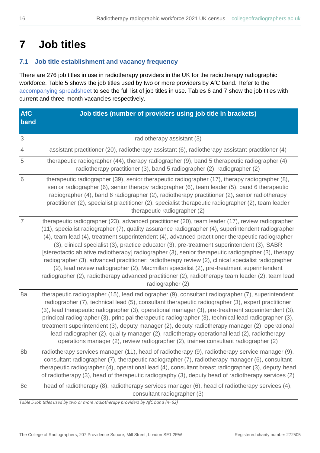## <span id="page-15-0"></span>**7 Job titles**

### <span id="page-15-1"></span>**7.1 Job title establishment and vacancy frequency**

There are 276 job titles in use in radiotherapy providers in the UK for the radiotherapy radiographic workforce. Table 5 shows the job titles used by two or more providers by AfC band. Refer to the [accompanying spreadsheet](#page-30-2) to see the full list of job titles in use. Tables 6 and 7 show the job titles with current and three-month vacancies respectively.

| <b>AfC</b><br>band        | Job titles (number of providers using job title in brackets)                                                                                                                                                                                                                                                                                                                                                                                                                                                                                                                                                                                                                                                                                                                                                                                 |
|---------------------------|----------------------------------------------------------------------------------------------------------------------------------------------------------------------------------------------------------------------------------------------------------------------------------------------------------------------------------------------------------------------------------------------------------------------------------------------------------------------------------------------------------------------------------------------------------------------------------------------------------------------------------------------------------------------------------------------------------------------------------------------------------------------------------------------------------------------------------------------|
| $\ensuremath{\mathsf{3}}$ | radiotherapy assistant (3)                                                                                                                                                                                                                                                                                                                                                                                                                                                                                                                                                                                                                                                                                                                                                                                                                   |
| $\overline{4}$            | assistant practitioner (20), radiotherapy assistant (6), radiotherapy assistant practitioner (4)                                                                                                                                                                                                                                                                                                                                                                                                                                                                                                                                                                                                                                                                                                                                             |
| 5                         | therapeutic radiographer (44), therapy radiographer (9), band 5 therapeutic radiographer (4),<br>radiotherapy practitioner (3), band 5 radiographer (2), radiographer (2)                                                                                                                                                                                                                                                                                                                                                                                                                                                                                                                                                                                                                                                                    |
| 6                         | therapeutic radiographer (39), senior therapeutic radiographer (17), therapy radiographer (8),<br>senior radiographer (6), senior therapy radiographer (6), team leader (5), band 6 therapeutic<br>radiographer (4), band 6 radiographer (2), radiotherapy practitioner (2), senior radiotherapy<br>practitioner (2), specialist practitioner (2), specialist therapeutic radiographer (2), team leader<br>therapeutic radiographer (2)                                                                                                                                                                                                                                                                                                                                                                                                      |
| $\overline{7}$            | therapeutic radiographer (23), advanced practitioner (20), team leader (17), review radiographer<br>(11), specialist radiographer (7), quality assurance radiographer (4), superintendent radiographer<br>(4), team lead (4), treatment superintendent (4), advanced practitioner therapeutic radiographer<br>(3), clinical specialist (3), practice educator (3), pre-treatment superintendent (3), SABR<br>[stereotactic ablative radiotherapy] radiographer (3), senior therapeutic radiographer (3), therapy<br>radiographer (3), advanced practitioner: radiotherapy review (2), clinical specialist radiographer<br>(2), lead review radiographer (2), Macmillan specialist (2), pre-treatment superintendent<br>radiographer (2), radiotherapy advanced practitioner (2), radiotherapy team leader (2), team lead<br>radiographer (2) |
| 8a                        | therapeutic radiographer (15), lead radiographer (9), consultant radiographer (7), superintendent<br>radiographer (7), technical lead (5), consultant therapeutic radiographer (3), expert practitioner<br>(3), lead therapeutic radiographer (3), operational manager (3), pre-treatment superintendent (3),<br>principal radiographer (3), principal therapeutic radiographer (3), technical lead radiographer (3),<br>treatment superintendent (3), deputy manager (2), deputy radiotherapy manager (2), operational<br>lead radiographer (2), quality manager (2), radiotherapy operational lead (2), radiotherapy<br>operations manager (2), review radiographer (2), trainee consultant radiographer (2)                                                                                                                               |
| 8b                        | radiotherapy services manager (11), head of radiotherapy (9), radiotherapy service manager (9),<br>consultant radiographer (7), therapeutic radiographer (7), radiotherapy manager (6), consultant<br>therapeutic radiographer (4), operational lead (4), consultant breast radiographer (3), deputy head<br>of radiotherapy (3), head of therapeutic radiography (3), deputy head of radiotherapy services (2)                                                                                                                                                                                                                                                                                                                                                                                                                              |
| 8c                        | head of radiotherapy (8), radiotherapy services manager (6), head of radiotherapy services (4),<br>consultant radiographer (3)                                                                                                                                                                                                                                                                                                                                                                                                                                                                                                                                                                                                                                                                                                               |

*Table 5 Job titles used by two or more radiotherapy providers by AfC band (n=62)*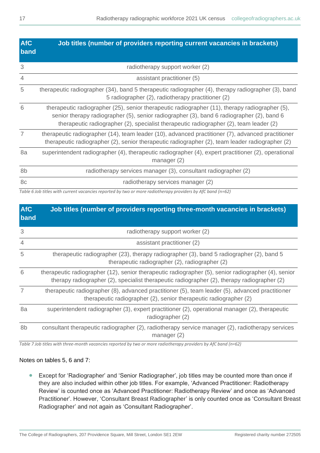| <b>AfC</b><br>band | Job titles (number of providers reporting current vacancies in brackets)                                                                                                                                                                                                              |
|--------------------|---------------------------------------------------------------------------------------------------------------------------------------------------------------------------------------------------------------------------------------------------------------------------------------|
| 3                  | radiotherapy support worker (2)                                                                                                                                                                                                                                                       |
| $\overline{4}$     | assistant practitioner (5)                                                                                                                                                                                                                                                            |
| 5                  | therapeutic radiographer (34), band 5 therapeutic radiographer (4), therapy radiographer (3), band<br>5 radiographer (2), radiotherapy practitioner (2)                                                                                                                               |
| 6                  | therapeutic radiographer (25), senior therapeutic radiographer (11), therapy radiographer (5),<br>senior therapy radiographer (5), senior radiographer (3), band 6 radiographer (2), band 6<br>therapeutic radiographer (2), specialist therapeutic radiographer (2), team leader (2) |
| $\overline{7}$     | therapeutic radiographer (14), team leader (10), advanced practitioner (7), advanced practitioner<br>therapeutic radiographer (2), senior therapeutic radiographer (2), team leader radiographer (2)                                                                                  |
| 8a                 | superintendent radiographer (4), therapeutic radiographer (4), expert practitioner (2), operational<br>manager $(2)$                                                                                                                                                                  |
| 8b                 | radiotherapy services manager (3), consultant radiographer (2)                                                                                                                                                                                                                        |
| 8c                 | radiotherapy services manager (2)                                                                                                                                                                                                                                                     |

*Table 6 Job titles with current vacancies reported by two or more radiotherapy providers by AfC band (n=62)*

| <b>AfC</b><br>band | Job titles (number of providers reporting three-month vacancies in brackets)                                                                                                                       |
|--------------------|----------------------------------------------------------------------------------------------------------------------------------------------------------------------------------------------------|
| 3                  | radiotherapy support worker (2)                                                                                                                                                                    |
| $\overline{4}$     | assistant practitioner (2)                                                                                                                                                                         |
| 5                  | therapeutic radiographer (23), therapy radiographer (3), band 5 radiographer (2), band 5<br>therapeutic radiographer (2), radiographer (2)                                                         |
| 6                  | therapeutic radiographer (12), senior therapeutic radiographer (5), senior radiographer (4), senior<br>therapy radiographer (2), specialist therapeutic radiographer (2), therapy radiographer (2) |
| $\overline{7}$     | therapeutic radiographer (8), advanced practitioner (5), team leader (5), advanced practitioner<br>therapeutic radiographer (2), senior therapeutic radiographer (2)                               |
| 8a                 | superintendent radiographer (3), expert practitioner (2), operational manager (2), therapeutic<br>radiographer (2)                                                                                 |
| 8b                 | consultant therapeutic radiographer (2), radiotherapy service manager (2), radiotherapy services<br>manager $(2)$                                                                                  |

*Table 7 Job titles with three-month vacancies reported by two or more radiotherapy providers by AfC band (n=62)*

#### Notes on tables 5, 6 and 7:

• Except for 'Radiographer' and 'Senior Radiographer', job titles may be counted more than once if they are also included within other job titles. For example, 'Advanced Practitioner: Radiotherapy Review' is counted once as 'Advanced Practitioner: Radiotherapy Review' and once as 'Advanced Practitioner'. However, 'Consultant Breast Radiographer' is only counted once as 'Consultant Breast Radiographer' and not again as 'Consultant Radiographer'.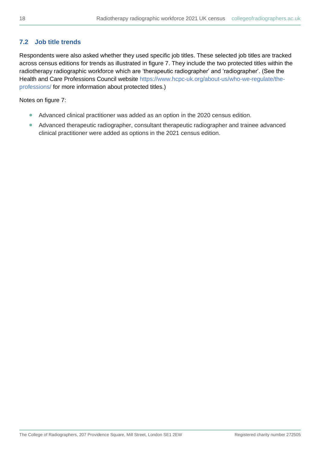### <span id="page-17-0"></span>**7.2 Job title trends**

Respondents were also asked whether they used specific job titles. These selected job titles are tracked across census editions for trends as illustrated in figure 7. They include the two protected titles within the radiotherapy radiographic workforce which are 'therapeutic radiographer' and 'radiographer'. (See the Health and Care Professions Council website [https://www.hcpc-uk.org/about-us/who-we-regulate/the](https://www.hcpc-uk.org/about-us/who-we-regulate/the-professions/)[professions/](https://www.hcpc-uk.org/about-us/who-we-regulate/the-professions/) for more information about protected titles.)

Notes on figure 7:

- Advanced clinical practitioner was added as an option in the 2020 census edition.
- Advanced therapeutic radiographer, consultant therapeutic radiographer and trainee advanced clinical practitioner were added as options in the 2021 census edition.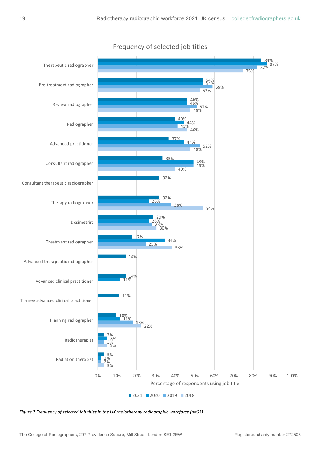

Frequency of selected job titles

*Figure 7 Frequency of selected job titles in the UK radiotherapy radiographic workforce (n=63)*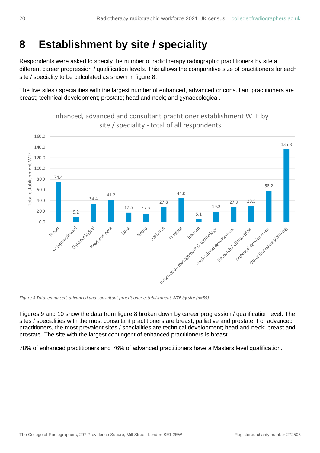## <span id="page-19-0"></span>**8 Establishment by site / speciality**

Respondents were asked to specify the number of radiotherapy radiographic practitioners by site at different career progression / qualification levels. This allows the comparative size of practitioners for each site / speciality to be calculated as shown in figure 8.

The five sites / specialities with the largest number of enhanced, advanced or consultant practitioners are breast; technical development; prostate; head and neck; and gynaecological.



Enhanced, advanced and consultant practitioner establishment WTE by site / speciality - total of all respondents

*Figure 8 Total enhanced, advanced and consultant practitioner establishment WTE by site (n=59)*

Figures 9 and 10 show the data from figure 8 broken down by career progression / qualification level. The sites / specialities with the most consultant practitioners are breast, palliative and prostate. For advanced practitioners, the most prevalent sites / specialities are technical development; head and neck; breast and prostate. The site with the largest contingent of enhanced practitioners is breast.

78% of enhanced practitioners and 76% of advanced practitioners have a Masters level qualification.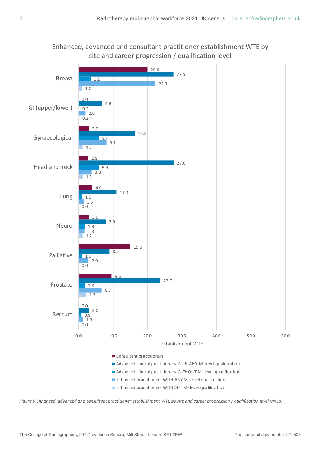

*Figure 9 Enhanced, advanced and consultant practitioner establishment WTE by site and career progression / qualification level (n=59)*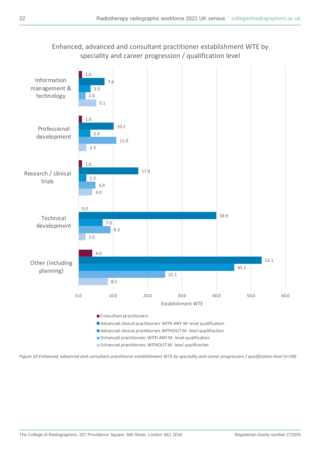### Enhanced, advanced and consultant practitioner establishment WTE by speciality and career progression / qualification level



*Figure 10 Enhanced, advanced and consultant practitioner establishment WTE by speciality and career progression / qualification level (n=59)*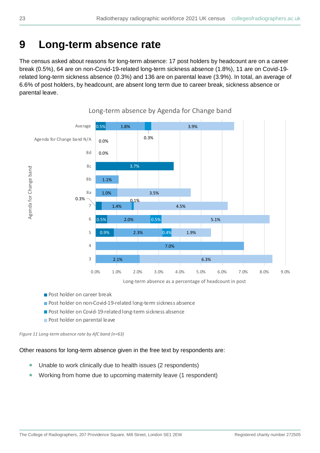## <span id="page-22-0"></span>**9 Long-term absence rate**

The census asked about reasons for long-term absence: 17 post holders by headcount are on a career break (0.5%), 64 are on non-Covid-19-related long-term sickness absence (1.8%), 11 are on Covid-19 related long-term sickness absence (0.3%) and 136 are on parental leave (3.9%). In total, an average of 6.6% of post holders, by headcount, are absent long term due to career break, sickness absence or parental leave.



### Long-term absence by Agenda for Change band

- **Post holder on career break**
- Post holder on non-Covid-19-related long-term sickness absence
- Post holder on Covid-19-related long-term sickness absence
- **Post holder on parental leave**

*Figure 11 Long-term absence rate by AfC band (n=63)*

#### Other reasons for long-term absence given in the free text by respondents are:

- Unable to work clinically due to health issues (2 respondents)
- Working from home due to upcoming maternity leave (1 respondent)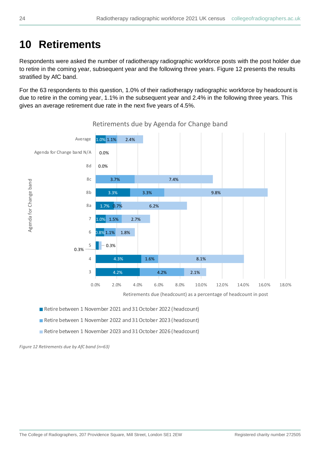## <span id="page-23-0"></span>**10 Retirements**

Respondents were asked the number of radiotherapy radiographic workforce posts with the post holder due to retire in the coming year, subsequent year and the following three years. Figure 12 presents the results stratified by AfC band.

For the 63 respondents to this question, 1.0% of their radiotherapy radiographic workforce by headcount is due to retire in the coming year, 1.1% in the subsequent year and 2.4% in the following three years. This gives an average retirement due rate in the next five years of 4.5%.



Retirements due by Agenda for Change band

■ Retire between 1 November 2021 and 31 October 2022 (headcount)

- Retire between 1 November 2022 and 31 October 2023 (headcount)
- Retire between 1 November 2023 and 31 October 2026 (headcount)

*Figure 12 Retirements due by AfC band (n=63)*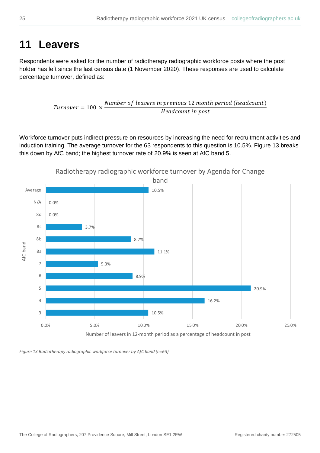### <span id="page-24-0"></span>**11 Leavers**

Respondents were asked for the number of radiotherapy radiographic workforce posts where the post holder has left since the last census date (1 November 2020). These responses are used to calculate percentage turnover, defined as:

> $Turnover = 100 \times$ Number of leavers in previous 12 month period (headcount) Headcount in post

Workforce turnover puts indirect pressure on resources by increasing the need for recruitment activities and induction training. The average turnover for the 63 respondents to this question is 10.5%. Figure 13 breaks this down by AfC band; the highest turnover rate of 20.9% is seen at AfC band 5.



*Figure 13 Radiotherapy radiographic workforce turnover by AfC band (n=63)*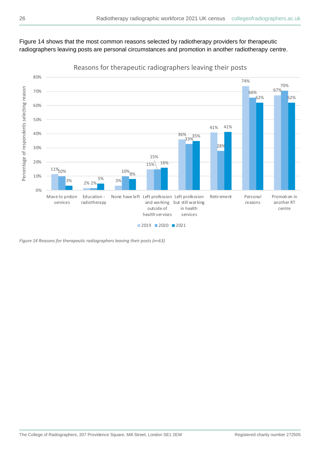### Figure 14 shows that the most common reasons selected by radiotherapy providers for therapeutic radiographers leaving posts are personal circumstances and promotion in another radiotherapy centre.



Reasons for therapeutic radiographers leaving their posts

*Figure 14 Reasons for therapeutic radiographers leaving their posts (n=63)*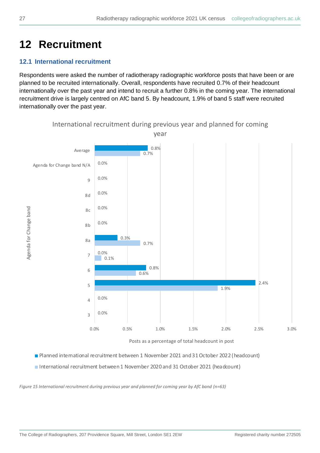## <span id="page-26-0"></span>**12 Recruitment**

### <span id="page-26-1"></span>**12.1 International recruitment**

Respondents were asked the number of radiotherapy radiographic workforce posts that have been or are planned to be recruited internationally. Overall, respondents have recruited 0.7% of their headcount internationally over the past year and intend to recruit a further 0.8% in the coming year. The international recruitment drive is largely centred on AfC band 5. By headcount, 1.9% of band 5 staff were recruited internationally over the past year.



Posts as a percentage of total headcount in post

Planned international recruitment between 1 November 2021 and31October 2022 (headcount)

International recruitment between1 November 2020 and 31 October 2021 (headcount)

*Figure 15 International recruitment during previous year and planned for coming year by AfC band (n=63)*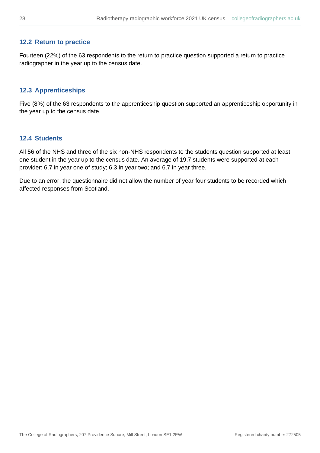#### <span id="page-27-0"></span>**12.2 Return to practice**

Fourteen (22%) of the 63 respondents to the return to practice question supported a return to practice radiographer in the year up to the census date.

#### <span id="page-27-1"></span>**12.3 Apprenticeships**

Five (8%) of the 63 respondents to the apprenticeship question supported an apprenticeship opportunity in the year up to the census date.

### <span id="page-27-2"></span>**12.4 Students**

All 56 of the NHS and three of the six non-NHS respondents to the students question supported at least one student in the year up to the census date. An average of 19.7 students were supported at each provider: 6.7 in year one of study; 6.3 in year two; and 6.7 in year three.

Due to an error, the questionnaire did not allow the number of year four students to be recorded which affected responses from Scotland.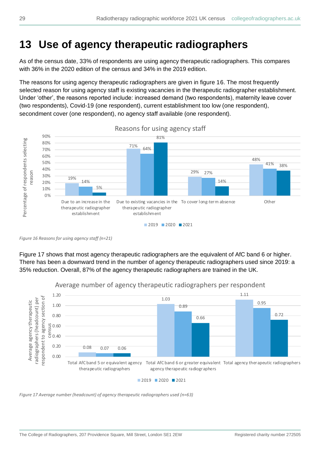### <span id="page-28-0"></span>**13 Use of agency therapeutic radiographers**

As of the census date, 33% of respondents are using agency therapeutic radiographers. This compares with 36% in the 2020 edition of the census and 34% in the 2019 edition.

The reasons for using agency therapeutic radiographers are given in figure 16. The most frequently selected reason for using agency staff is existing vacancies in the therapeutic radiographer establishment. Under 'other', the reasons reported include: increased demand (two respondents), maternity leave cover (two respondents), Covid-19 (one respondent), current establishment too low (one respondent), secondment cover (one respondent), no agency staff available (one respondent).



Reasons for using agency staff

Figure 17 shows that most agency therapeutic radiographers are the equivalent of AfC band 6 or higher. There has been a downward trend in the number of agency therapeutic radiographers used since 2019: a 35% reduction. Overall, 87% of the agency therapeutic radiographers are trained in the UK.



Average number of agency therapeutic radiographers per respondent

*Figure 17 Average number (headcount) of agency therapeutic radiographers used (n=63)*

*Figure 16 Reasons for using agency staff (n=21)*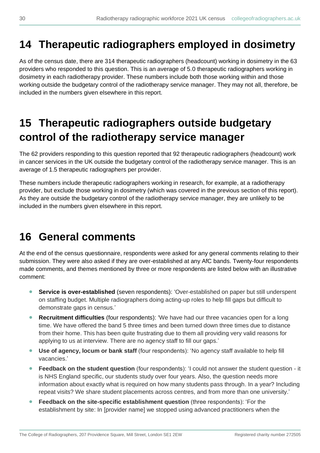### <span id="page-29-0"></span>**14 Therapeutic radiographers employed in dosimetry**

As of the census date, there are 314 therapeutic radiographers (headcount) working in dosimetry in the 63 providers who responded to this question. This is an average of 5.0 therapeutic radiographers working in dosimetry in each radiotherapy provider. These numbers include both those working within and those working outside the budgetary control of the radiotherapy service manager. They may not all, therefore, be included in the numbers given elsewhere in this report.

## <span id="page-29-1"></span>**15 Therapeutic radiographers outside budgetary control of the radiotherapy service manager**

The 62 providers responding to this question reported that 92 therapeutic radiographers (headcount) work in cancer services in the UK outside the budgetary control of the radiotherapy service manager. This is an average of 1.5 therapeutic radiographers per provider.

These numbers include therapeutic radiographers working in research, for example, at a radiotherapy provider, but exclude those working in dosimetry (which was covered in the previous section of this report). As they are outside the budgetary control of the radiotherapy service manager, they are unlikely to be included in the numbers given elsewhere in this report.

## <span id="page-29-2"></span>**16 General comments**

At the end of the census questionnaire, respondents were asked for any general comments relating to their submission. They were also asked if they are over-established at any AfC bands. Twenty-four respondents made comments, and themes mentioned by three or more respondents are listed below with an illustrative comment:

- **Service is over-established** (seven respondents): 'Over-established on paper but still underspent on staffing budget. Multiple radiographers doing acting-up roles to help fill gaps but difficult to demonstrate gaps in census.'
- **Recruitment difficulties** (four respondents): 'We have had our three vacancies open for a long time. We have offered the band 5 three times and been turned down three times due to distance from their home. This has been quite frustrating due to them all providing very valid reasons for applying to us at interview. There are no agency staff to fill our gaps.'
- **Use of agency, locum or bank staff** (four respondents): 'No agency staff available to help fill vacancies.'
- **Feedback on the student question** (four respondents): 'I could not answer the student question it is NHS England specific, our students study over four years. Also, the question needs more information about exactly what is required on how many students pass through. In a year? Including repeat visits? We share student placements across centres, and from more than one university.'
- **Feedback on the site-specific establishment question** (three respondents): 'For the establishment by site: In [provider name] we stopped using advanced practitioners when the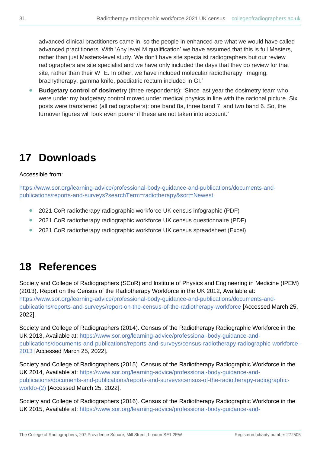advanced clinical practitioners came in, so the people in enhanced are what we would have called advanced practitioners. With 'Any level M qualification' we have assumed that this is full Masters, rather than just Masters-level study. We don't have site specialist radiographers but our review radiographers are site specialist and we have only included the days that they do review for that site, rather than their WTE. In other, we have included molecular radiotherapy, imaging, brachytherapy, gamma knife, paediatric rectum included in GI.'

• **Budgetary control of dosimetry** (three respondents): 'Since last year the dosimetry team who were under my budgetary control moved under medical physics in line with the national picture. Six posts were transferred (all radiographers): one band 8a, three band 7, and two band 6. So, the turnover figures will look even poorer if these are not taken into account.'

## <span id="page-30-2"></span><span id="page-30-0"></span>**17 Downloads**

### Accessible from:

[https://www.sor.org/learning-advice/professional-body-guidance-and-publications/documents-and](https://www.sor.org/learning-advice/professional-body-guidance-and-publications/documents-and-publications/reports-and-surveys?searchTerm=radiotherapy&sort=Newest)[publications/reports-and-surveys?searchTerm=radiotherapy&sort=Newest](https://www.sor.org/learning-advice/professional-body-guidance-and-publications/documents-and-publications/reports-and-surveys?searchTerm=radiotherapy&sort=Newest)

- 2021 CoR radiotherapy radiographic workforce UK census infographic (PDF)
- 2021 CoR radiotherapy radiographic workforce UK census questionnaire (PDF)
- 2021 CoR radiotherapy radiographic workforce UK census spreadsheet (Excel)

## <span id="page-30-1"></span>**18 References**

Society and College of Radiographers (SCoR) and Institute of Physics and Engineering in Medicine (IPEM) (2013). Report on the Census of the Radiotherapy Workforce in the UK 2012, Available at: [https://www.sor.org/learning-advice/professional-body-guidance-and-publications/documents-and](https://www.sor.org/learning-advice/professional-body-guidance-and-publications/documents-and-publications/reports-and-surveys/report-on-the-census-of-the-radiotherapy-workforce)[publications/reports-and-surveys/report-on-the-census-of-the-radiotherapy-workforce](https://www.sor.org/learning-advice/professional-body-guidance-and-publications/documents-and-publications/reports-and-surveys/report-on-the-census-of-the-radiotherapy-workforce) [Accessed March 25, 2022].

Society and College of Radiographers (2014). Census of the Radiotherapy Radiographic Workforce in the UK 2013, Available at: [https://www.sor.org/learning-advice/professional-body-guidance-and](https://www.sor.org/learning-advice/professional-body-guidance-and-publications/documents-and-publications/reports-and-surveys/census-radiotherapy-radiographic-workforce-2013)[publications/documents-and-publications/reports-and-surveys/census-radiotherapy-radiographic-workforce-](https://www.sor.org/learning-advice/professional-body-guidance-and-publications/documents-and-publications/reports-and-surveys/census-radiotherapy-radiographic-workforce-2013)[2013](https://www.sor.org/learning-advice/professional-body-guidance-and-publications/documents-and-publications/reports-and-surveys/census-radiotherapy-radiographic-workforce-2013) [Accessed March 25, 2022].

Society and College of Radiographers (2015). Census of the Radiotherapy Radiographic Workforce in the UK 2014, Available at: [https://www.sor.org/learning-advice/professional-body-guidance-and](https://www.sor.org/learning-advice/professional-body-guidance-and-publications/documents-and-publications/reports-and-surveys/census-of-the-radiotherapy-radiographic-workfo-(2))[publications/documents-and-publications/reports-and-surveys/census-of-the-radiotherapy-radiographic](https://www.sor.org/learning-advice/professional-body-guidance-and-publications/documents-and-publications/reports-and-surveys/census-of-the-radiotherapy-radiographic-workfo-(2))[workfo-\(2\)](https://www.sor.org/learning-advice/professional-body-guidance-and-publications/documents-and-publications/reports-and-surveys/census-of-the-radiotherapy-radiographic-workfo-(2)) [Accessed March 25, 2022].

Society and College of Radiographers (2016). Census of the Radiotherapy Radiographic Workforce in the UK 2015, Available at: [https://www.sor.org/learning-advice/professional-body-guidance-and-](https://www.sor.org/learning-advice/professional-body-guidance-and-publications/documents-and-publications/reports-and-surveys/census-of-the-radiotherapy-radiographic-workfo-(1))